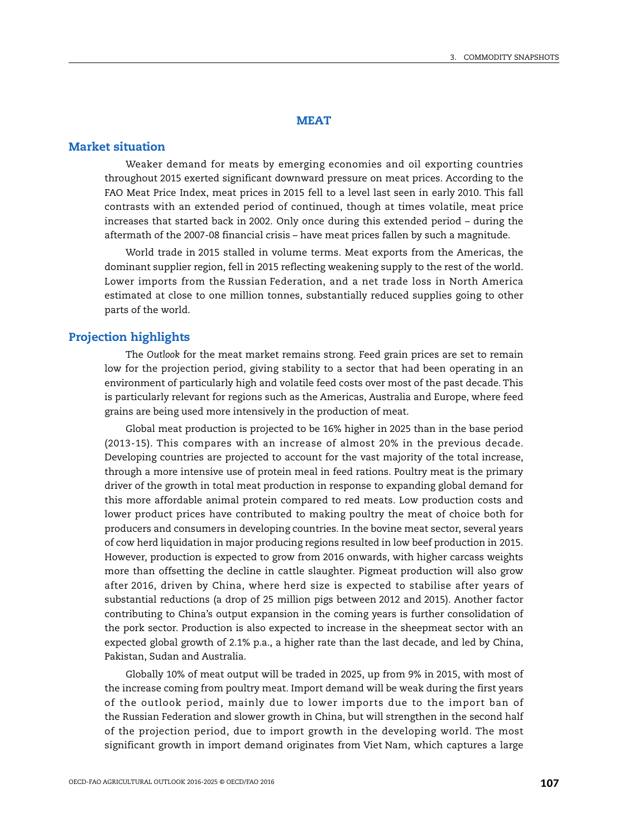## **MEAT**

# **Market situation**

Weaker demand for meats by emerging economies and oil exporting countries throughout 2015 exerted significant downward pressure on meat prices. According to the FAO Meat Price Index, meat prices in 2015 fell to a level last seen in early 2010. This fall contrasts with an extended period of continued, though at times volatile, meat price increases that started back in 2002. Only once during this extended period – during the aftermath of the 2007-08 financial crisis – have meat prices fallen by such a magnitude.

World trade in 2015 stalled in volume terms. Meat exports from the Americas, the dominant supplier region, fell in 2015 reflecting weakening supply to the rest of the world. Lower imports from the Russian Federation, and a net trade loss in North America estimated at close to one million tonnes, substantially reduced supplies going to other parts of the world.

# **Projection highlights**

The *Outlook* for the meat market remains strong. Feed grain prices are set to remain low for the projection period, giving stability to a sector that had been operating in an environment of particularly high and volatile feed costs over most of the past decade. This is particularly relevant for regions such as the Americas, Australia and Europe, where feed grains are being used more intensively in the production of meat.

Global meat production is projected to be 16% higher in 2025 than in the base period (2013-15). This compares with an increase of almost 20% in the previous decade. Developing countries are projected to account for the vast majority of the total increase, through a more intensive use of protein meal in feed rations. Poultry meat is the primary driver of the growth in total meat production in response to expanding global demand for this more affordable animal protein compared to red meats. Low production costs and lower product prices have contributed to making poultry the meat of choice both for producers and consumers in developing countries. In the bovine meat sector, several years of cow herd liquidation in major producing regions resulted in low beef production in 2015. However, production is expected to grow from 2016 onwards, with higher carcass weights more than offsetting the decline in cattle slaughter. Pigmeat production will also grow after 2016, driven by China, where herd size is expected to stabilise after years of substantial reductions (a drop of 25 million pigs between 2012 and 2015). Another factor contributing to China's output expansion in the coming years is further consolidation of the pork sector. Production is also expected to increase in the sheepmeat sector with an expected global growth of 2.1% p.a., a higher rate than the last decade, and led by China, Pakistan, Sudan and Australia.

Globally 10% of meat output will be traded in 2025, up from 9% in 2015, with most of the increase coming from poultry meat. Import demand will be weak during the first years of the outlook period, mainly due to lower imports due to the import ban of the Russian Federation and slower growth in China, but will strengthen in the second half of the projection period, due to import growth in the developing world. The most significant growth in import demand originates from Viet Nam, which captures a large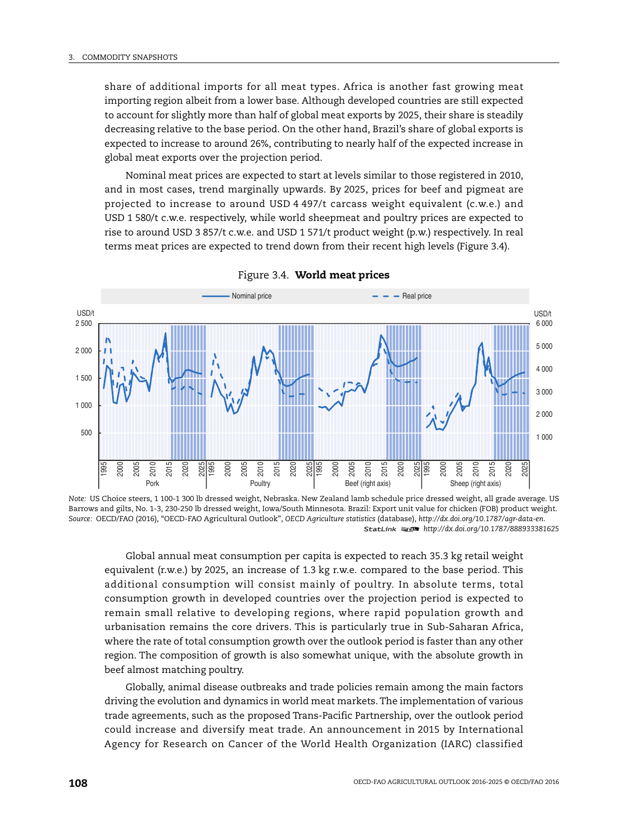share of additional imports for all meat types. Africa is another fast growing meat importing region albeit from a lower base. Although developed countries are still expected to account for slightly more than half of global meat exports by 2025, their share is steadily decreasing relative to the base period. On the other hand, Brazil's share of global exports is expected to increase to around 26%, contributing to nearly half of the expected increase in global meat exports over the projection period.

Nominal meat prices are expected to start at levels similar to those registered in 2010, and in most cases, trend marginally upwards. By 2025, prices for beef and pigmeat are projected to increase to around USD 4 497/t carcass weight equivalent (c.w.e.) and USD 1 580/t c.w.e. respectively, while world sheepmeat and poultry prices are expected to rise to around USD 3 857/t c.w.e. and USD 1 571/t product weight (p.w.) respectively. In real terms meat prices are expected to trend down from their recent high levels ([Figure 3.4](#page-1-0)).

<span id="page-1-0"></span>

Figure 3.4. **World meat prices**

*Note:* US Choice steers, 1 100-1 300 lb dressed weight, Nebraska. New Zealand lamb schedule price dressed weight, all grade average. US Barrows and gilts, No. 1-3, 230-250 lb dressed weight, Iowa/South Minnesota. Brazil: Export unit value for chicken (FOB) product weight. *Source:* OECD/FAO (2016), "OECD-FAO Agricultural Outlook", *OECD Agriculture statistics* (database), *<http://dx.doi.org/10.1787/agr-data-en>*. 1 2 *<http://dx.doi.org/10.1787/888933381625>*

Global annual meat consumption per capita is expected to reach 35.3 kg retail weight equivalent (r.w.e.) by 2025, an increase of 1.3 kg r.w.e. compared to the base period. This additional consumption will consist mainly of poultry. In absolute terms, total consumption growth in developed countries over the projection period is expected to remain small relative to developing regions, where rapid population growth and urbanisation remains the core drivers. This is particularly true in Sub-Saharan Africa, where the rate of total consumption growth over the outlook period is faster than any other region. The composition of growth is also somewhat unique, with the absolute growth in beef almost matching poultry.

Globally, animal disease outbreaks and trade policies remain among the main factors driving the evolution and dynamics in world meat markets. The implementation of various trade agreements, such as the proposed Trans-Pacific Partnership, over the outlook period could increase and diversify meat trade. An announcement in 2015 by International Agency for Research on Cancer of the World Health Organization (IARC) classified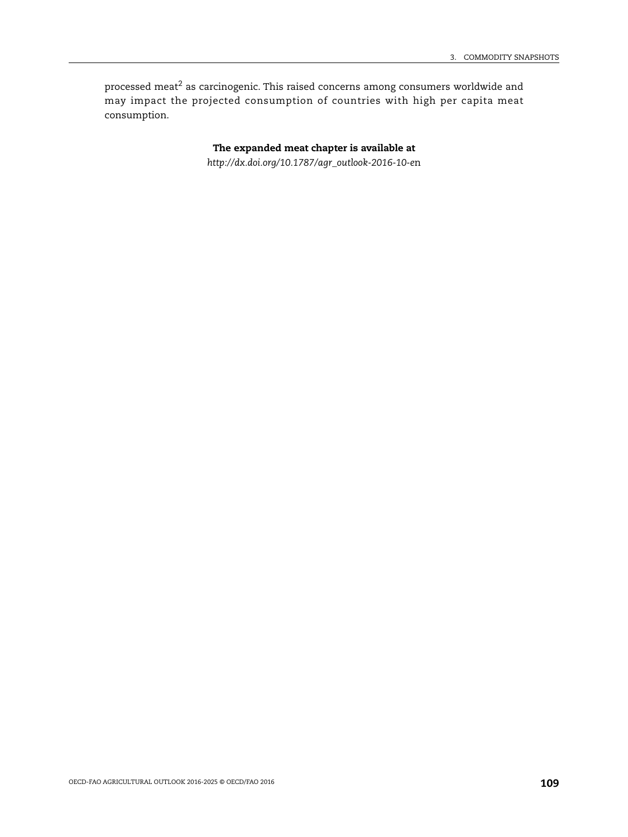processed meat<sup>[2](#page--1-0)</sup> as carcinogenic. This raised concerns among consumers worldwide and may impact the projected consumption of countries with high per capita meat consumption.

> **The expanded meat chapter is available at** *[http://dx.doi.org/10.1787/agr\\_outlook-2016-10-e](http://dx.doi.org/10.1787/agr_outlook-2016-10-en)*n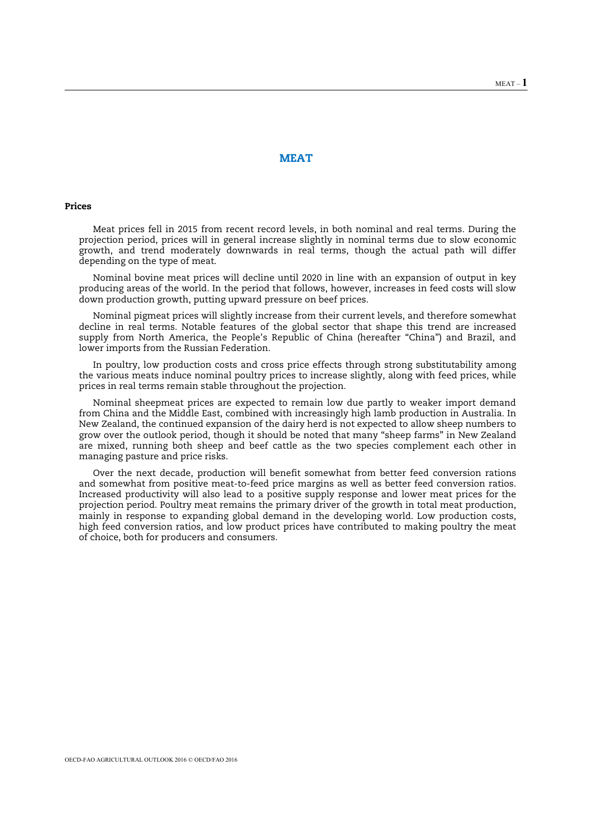## **MEAT**

#### **Prices**

Meat prices fell in 2015 from recent record levels, in both nominal and real terms. During the projection period, prices will in general increase slightly in nominal terms due to slow economic growth, and trend moderately downwards in real terms, though the actual path will differ depending on the type of meat.

Nominal bovine meat prices will decline until 2020 in line with an expansion of output in key producing areas of the world. In the period that follows, however, increases in feed costs will slow down production growth, putting upward pressure on beef prices.

Nominal pigmeat prices will slightly increase from their current levels, and therefore somewhat decline in real terms. Notable features of the global sector that shape this trend are increased supply from North America, the People's Republic of China (hereafter "China") and Brazil, and lower imports from the Russian Federation.

In poultry, low production costs and cross price effects through strong substitutability among the various meats induce nominal poultry prices to increase slightly, along with feed prices, while prices in real terms remain stable throughout the projection.

Nominal sheepmeat prices are expected to remain low due partly to weaker import demand from China and the Middle East, combined with increasingly high lamb production in Australia. In New Zealand, the continued expansion of the dairy herd is not expected to allow sheep numbers to grow over the outlook period, though it should be noted that many "sheep farms" in New Zealand are mixed, running both sheep and beef cattle as the two species complement each other in managing pasture and price risks.

Over the next decade, production will benefit somewhat from better feed conversion rations and somewhat from positive meat-to-feed price margins as well as better feed conversion ratios. Increased productivity will also lead to a positive supply response and lower meat prices for the projection period. Poultry meat remains the primary driver of the growth in total meat production, mainly in response to expanding global demand in the developing world. Low production costs, high feed conversion ratios, and low product prices have contributed to making poultry the meat of choice, both for producers and consumers.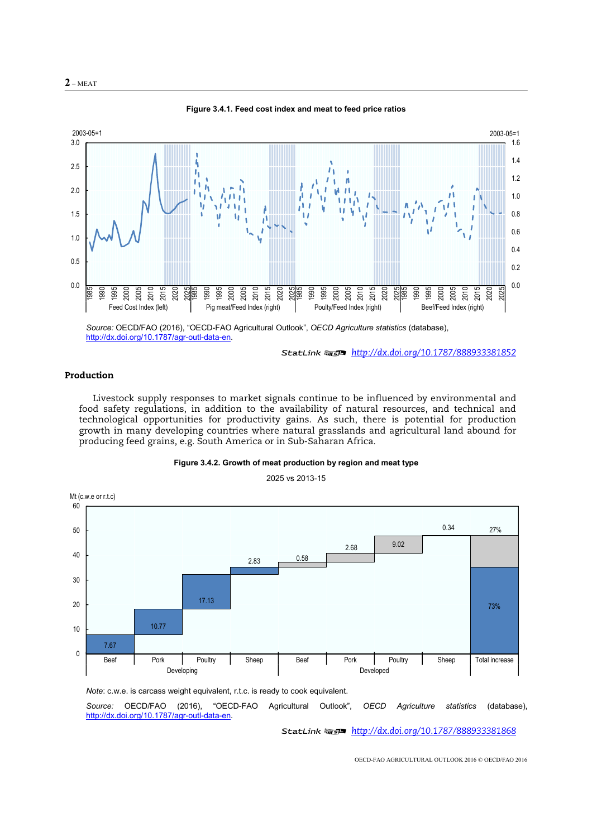



**Figure 3.4.1. Feed cost index and meat to feed price ratios** 

*Source:* OECD/FAO (2016), "OECD-FAO Agricultural Outlook", *OECD Agriculture statistics* (database), http://dx.doi.org/10.1787/agr-outl-data-en.

12 *http://dx.doi.org/10.1787/888933381852*

## **Production**

Livestock supply responses to market signals continue to be influenced by environmental and food safety regulations, in addition to the availability of natural resources, and technical and technological opportunities for productivity gains. As such, there is potential for production growth in many developing countries where natural grasslands and agricultural land abound for producing feed grains, e.g. South America or in Sub-Saharan Africa.



2025 vs 2013-15



*Note*: c.w.e. is carcass weight equivalent, r.t.c. is ready to cook equivalent.

*Source:* OECD/FAO (2016), "OECD-FAO Agricultural Outlook", *OECD Agriculture statistics* (database), http://dx.doi.org/10.1787/agr-outl-data-en.

12 *http://dx.doi.org/10.1787/888933381868*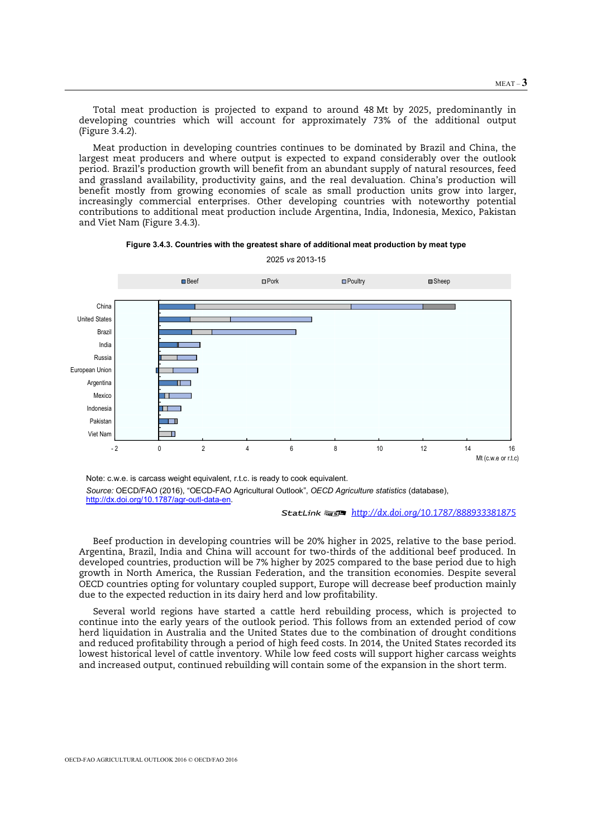Total meat production is projected to expand to around 48 Mt by 2025, predominantly in developing countries which will account for approximately 73% of the additional output (Figure 3.4.2).

Meat production in developing countries continues to be dominated by Brazil and China, the largest meat producers and where output is expected to expand considerably over the outlook period. Brazil's production growth will benefit from an abundant supply of natural resources, feed and grassland availability, productivity gains, and the real devaluation. China's production will benefit mostly from growing economies of scale as small production units grow into larger, increasingly commercial enterprises. Other developing countries with noteworthy potential contributions to additional meat production include Argentina, India, Indonesia, Mexico, Pakistan and Viet Nam (Figure 3.4.3).





2025 *vs* 2013-15

Note: c.w.e. is carcass weight equivalent, r.t.c. is ready to cook equivalent. *Source:* OECD/FAO (2016), "OECD-FAO Agricultural Outlook", *OECD Agriculture statistics* (database), http://dx.doi.org/10.1787/agr-outl-data-en.

12 *http://dx.doi.org/10.1787/888933381875*

Beef production in developing countries will be 20% higher in 2025, relative to the base period. Argentina, Brazil, India and China will account for two-thirds of the additional beef produced. In developed countries, production will be 7% higher by 2025 compared to the base period due to high growth in North America, the Russian Federation, and the transition economies. Despite several OECD countries opting for voluntary coupled support, Europe will decrease beef production mainly due to the expected reduction in its dairy herd and low profitability.

Several world regions have started a cattle herd rebuilding process, which is projected to continue into the early years of the outlook period. This follows from an extended period of cow herd liquidation in Australia and the United States due to the combination of drought conditions and reduced profitability through a period of high feed costs. In 2014, the United States recorded its lowest historical level of cattle inventory. While low feed costs will support higher carcass weights and increased output, continued rebuilding will contain some of the expansion in the short term.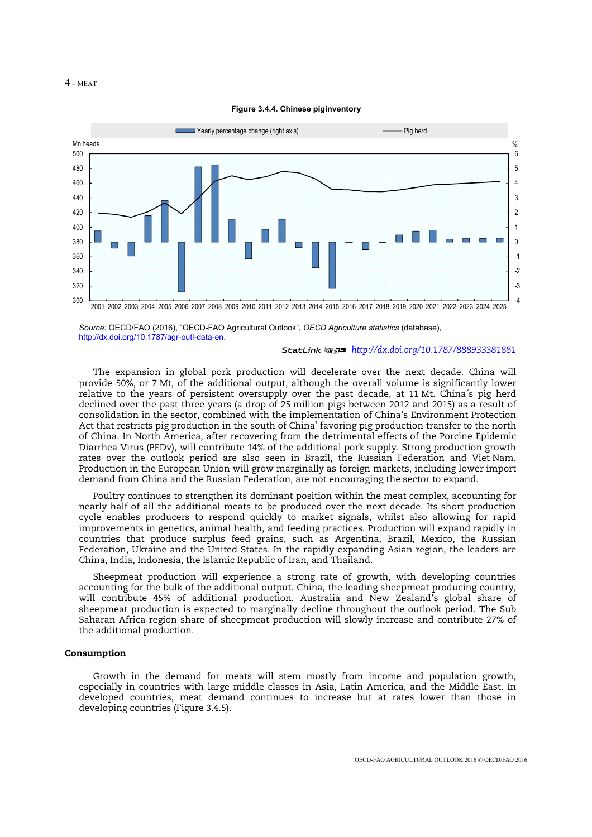



*Source:* OECD/FAO (2016), "OECD-FAO Agricultural Outlook", *OECD Agriculture statistics* (database), http://dx.doi.org/10.1787/agr-outl-data-en.

#### 12 *http://dx.doi.org/10.1787/888933381881*

The expansion in global pork production will decelerate over the next decade. China will provide 50%, or 7 Mt, of the additional output, although the overall volume is significantly lower relative to the years of persistent oversupply over the past decade, at 11 Mt. China´s pig herd declined over the past three years (a drop of 25 million pigs between 2012 and 2015) as a result of consolidation in the sector, combined with the implementation of China's Environment Protection Act that restricts pig production in the south of China $^1$  favoring pig production transfer to the north of China. In North America, after recovering from the detrimental effects of the Porcine Epidemic Diarrhea Virus (PEDv), will contribute 14% of the additional pork supply. Strong production growth rates over the outlook period are also seen in Brazil, the Russian Federation and Viet Nam. Production in the European Union will grow marginally as foreign markets, including lower import demand from China and the Russian Federation, are not encouraging the sector to expand.

Poultry continues to strengthen its dominant position within the meat complex, accounting for nearly half of all the additional meats to be produced over the next decade. Its short production cycle enables producers to respond quickly to market signals, whilst also allowing for rapid improvements in genetics, animal health, and feeding practices. Production will expand rapidly in countries that produce surplus feed grains, such as Argentina, Brazil, Mexico, the Russian Federation, Ukraine and the United States. In the rapidly expanding Asian region, the leaders are China, India, Indonesia, the Islamic Republic of Iran, and Thailand.

Sheepmeat production will experience a strong rate of growth, with developing countries accounting for the bulk of the additional output. China, the leading sheepmeat producing country, will contribute 45% of additional production. Australia and New Zealand's global share of sheepmeat production is expected to marginally decline throughout the outlook period. The Sub Saharan Africa region share of sheepmeat production will slowly increase and contribute 27% of the additional production.

#### **Consumption**

Growth in the demand for meats will stem mostly from income and population growth, especially in countries with large middle classes in Asia, Latin America, and the Middle East. In developed countries, meat demand continues to increase but at rates lower than those in developing countries (Figure 3.4.5).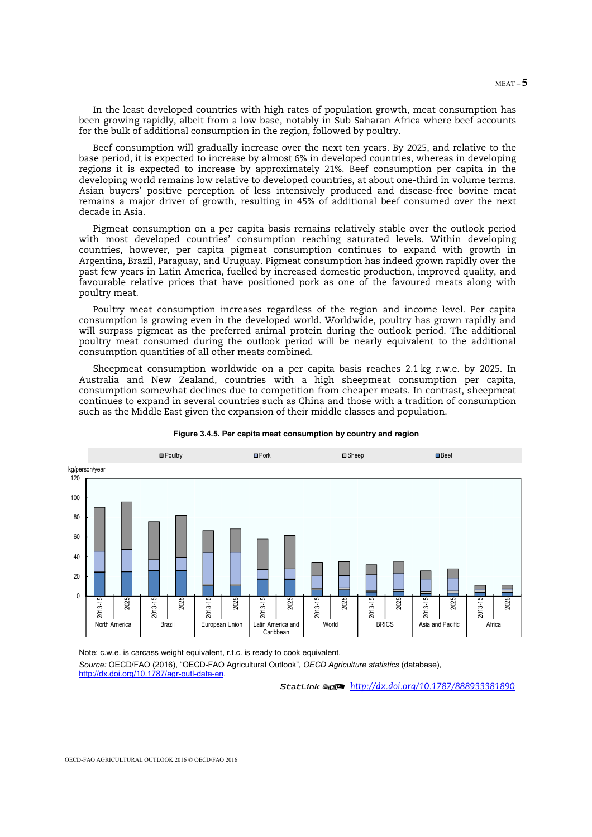In the least developed countries with high rates of population growth, meat consumption has been growing rapidly, albeit from a low base, notably in Sub Saharan Africa where beef accounts for the bulk of additional consumption in the region, followed by poultry.

Beef consumption will gradually increase over the next ten years. By 2025, and relative to the base period, it is expected to increase by almost 6% in developed countries, whereas in developing regions it is expected to increase by approximately 21%. Beef consumption per capita in the developing world remains low relative to developed countries, at about one-third in volume terms. Asian buyers' positive perception of less intensively produced and disease-free bovine meat remains a major driver of growth, resulting in 45% of additional beef consumed over the next decade in Asia.

Pigmeat consumption on a per capita basis remains relatively stable over the outlook period with most developed countries' consumption reaching saturated levels. Within developing countries, however, per capita pigmeat consumption continues to expand with growth in Argentina, Brazil, Paraguay, and Uruguay. Pigmeat consumption has indeed grown rapidly over the past few years in Latin America, fuelled by increased domestic production, improved quality, and favourable relative prices that have positioned pork as one of the favoured meats along with poultry meat.

Poultry meat consumption increases regardless of the region and income level. Per capita consumption is growing even in the developed world. Worldwide, poultry has grown rapidly and will surpass pigmeat as the preferred animal protein during the outlook period. The additional poultry meat consumed during the outlook period will be nearly equivalent to the additional consumption quantities of all other meats combined.

Sheepmeat consumption worldwide on a per capita basis reaches 2.1 kg r.w.e. by 2025. In Australia and New Zealand, countries with a high sheepmeat consumption per capita, consumption somewhat declines due to competition from cheaper meats. In contrast, sheepmeat continues to expand in several countries such as China and those with a tradition of consumption such as the Middle East given the expansion of their middle classes and population.



#### **Figure 3.4.5. Per capita meat consumption by country and region**

Note: c.w.e. is carcass weight equivalent, r.t.c. is ready to cook equivalent. *Source:* OECD/FAO (2016), "OECD-FAO Agricultural Outlook", *OECD Agriculture statistics* (database), http://dx.doi.org/10.1787/agr-outl-data-en.

12 *http://dx.doi.org/10.1787/888933381890*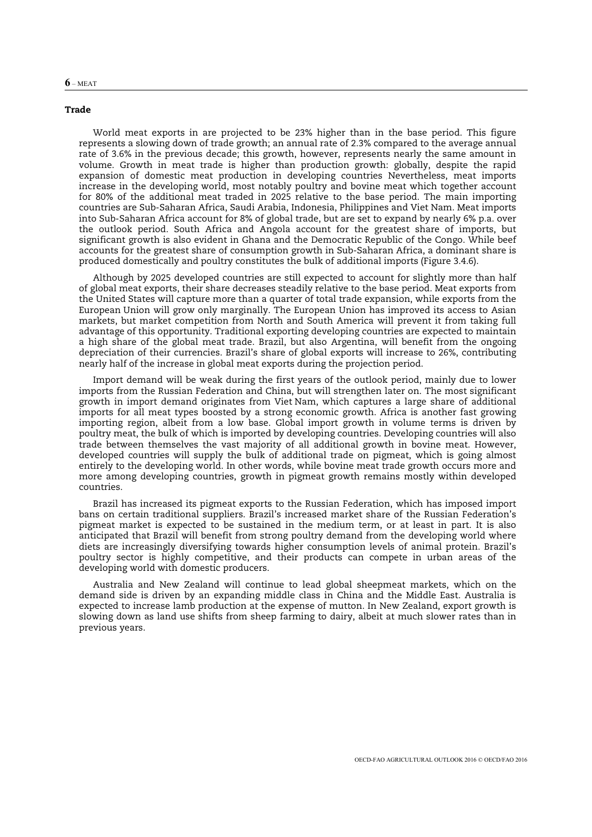#### **Trade**

World meat exports in are projected to be 23% higher than in the base period. This figure represents a slowing down of trade growth; an annual rate of 2.3% compared to the average annual rate of 3.6% in the previous decade; this growth, however, represents nearly the same amount in volume. Growth in meat trade is higher than production growth: globally, despite the rapid expansion of domestic meat production in developing countries Nevertheless, meat imports increase in the developing world, most notably poultry and bovine meat which together account for 80% of the additional meat traded in 2025 relative to the base period. The main importing countries are Sub-Saharan Africa, Saudi Arabia, Indonesia, Philippines and Viet Nam. Meat imports into Sub-Saharan Africa account for 8% of global trade, but are set to expand by nearly 6% p.a. over the outlook period. South Africa and Angola account for the greatest share of imports, but significant growth is also evident in Ghana and the Democratic Republic of the Congo. While beef accounts for the greatest share of consumption growth in Sub-Saharan Africa, a dominant share is produced domestically and poultry constitutes the bulk of additional imports (Figure 3.4.6).

Although by 2025 developed countries are still expected to account for slightly more than half of global meat exports, their share decreases steadily relative to the base period. Meat exports from the United States will capture more than a quarter of total trade expansion, while exports from the European Union will grow only marginally. The European Union has improved its access to Asian markets, but market competition from North and South America will prevent it from taking full advantage of this opportunity. Traditional exporting developing countries are expected to maintain a high share of the global meat trade. Brazil, but also Argentina, will benefit from the ongoing depreciation of their currencies. Brazil's share of global exports will increase to 26%, contributing nearly half of the increase in global meat exports during the projection period.

Import demand will be weak during the first years of the outlook period, mainly due to lower imports from the Russian Federation and China, but will strengthen later on. The most significant growth in import demand originates from Viet Nam, which captures a large share of additional imports for all meat types boosted by a strong economic growth. Africa is another fast growing importing region, albeit from a low base. Global import growth in volume terms is driven by poultry meat, the bulk of which is imported by developing countries. Developing countries will also trade between themselves the vast majority of all additional growth in bovine meat. However, developed countries will supply the bulk of additional trade on pigmeat, which is going almost entirely to the developing world. In other words, while bovine meat trade growth occurs more and more among developing countries, growth in pigmeat growth remains mostly within developed countries.

Brazil has increased its pigmeat exports to the Russian Federation, which has imposed import bans on certain traditional suppliers. Brazil's increased market share of the Russian Federation's pigmeat market is expected to be sustained in the medium term, or at least in part. It is also anticipated that Brazil will benefit from strong poultry demand from the developing world where diets are increasingly diversifying towards higher consumption levels of animal protein. Brazil's poultry sector is highly competitive, and their products can compete in urban areas of the developing world with domestic producers.

Australia and New Zealand will continue to lead global sheepmeat markets, which on the demand side is driven by an expanding middle class in China and the Middle East. Australia is expected to increase lamb production at the expense of mutton. In New Zealand, export growth is slowing down as land use shifts from sheep farming to dairy, albeit at much slower rates than in previous years.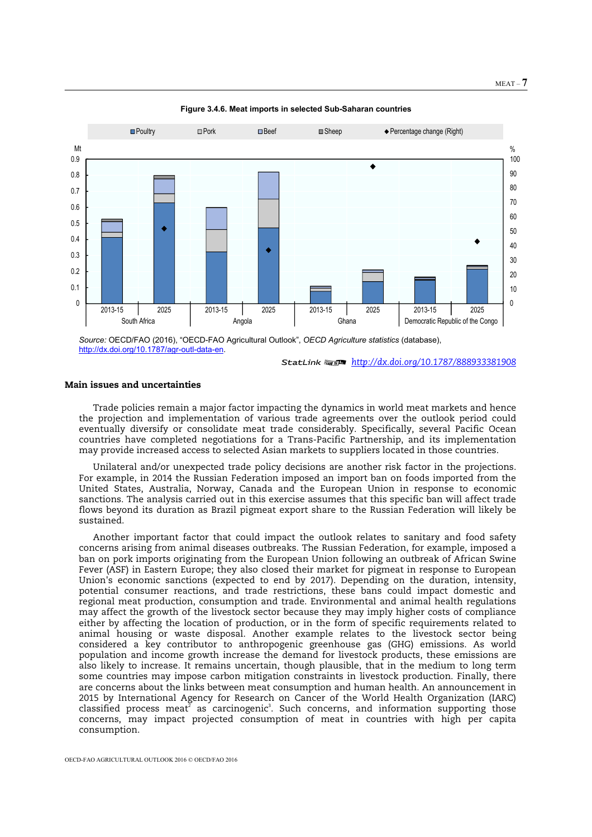

**Figure 3.4.6. Meat imports in selected Sub-Saharan countries** 

*Source:* OECD/FAO (2016), "OECD-FAO Agricultural Outlook", *OECD Agriculture statistics* (database), http://dx.doi.org/10.1787/agr-outl-data-en.

## **Main issues and uncertainties**

Trade policies remain a major factor impacting the dynamics in world meat markets and hence the projection and implementation of various trade agreements over the outlook period could eventually diversify or consolidate meat trade considerably. Specifically, several Pacific Ocean countries have completed negotiations for a Trans-Pacific Partnership, and its implementation may provide increased access to selected Asian markets to suppliers located in those countries.

Unilateral and/or unexpected trade policy decisions are another risk factor in the projections. For example, in 2014 the Russian Federation imposed an import ban on foods imported from the United States, Australia, Norway, Canada and the European Union in response to economic sanctions. The analysis carried out in this exercise assumes that this specific ban will affect trade flows beyond its duration as Brazil pigmeat export share to the Russian Federation will likely be sustained.

Another important factor that could impact the outlook relates to sanitary and food safety concerns arising from animal diseases outbreaks. The Russian Federation, for example, imposed a ban on pork imports originating from the European Union following an outbreak of African Swine Fever (ASF) in Eastern Europe; they also closed their market for pigmeat in response to European Union's economic sanctions (expected to end by 2017). Depending on the duration, intensity, potential consumer reactions, and trade restrictions, these bans could impact domestic and regional meat production, consumption and trade. Environmental and animal health regulations may affect the growth of the livestock sector because they may imply higher costs of compliance either by affecting the location of production, or in the form of specific requirements related to animal housing or waste disposal. Another example relates to the livestock sector being considered a key contributor to anthropogenic greenhouse gas (GHG) emissions. As world population and income growth increase the demand for livestock products, these emissions are also likely to increase. It remains uncertain, though plausible, that in the medium to long term some countries may impose carbon mitigation constraints in livestock production. Finally, there are concerns about the links between meat consumption and human health. An announcement in 2015 by International Agency for Research on Cancer of the World Health Organization (IARC) classified process meat<sup>2</sup> as carcinogenic<sup>3</sup>. Such concerns, and information supporting those concerns, may impact projected consumption of meat in countries with high per capita consumption.

<sup>12</sup> *http://dx.doi.org/10.1787/888933381908*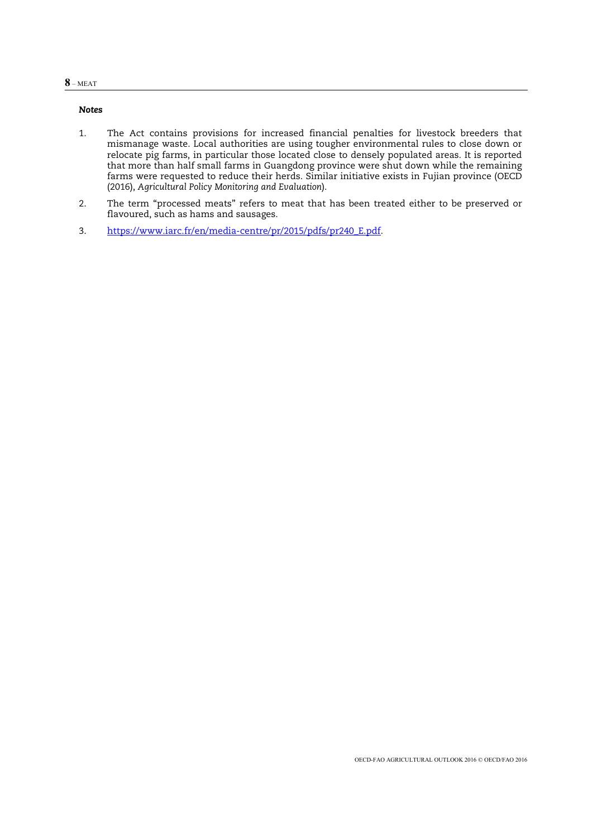## **8** – MEAT

## *Notes*

- 1. The Act contains provisions for increased financial penalties for livestock breeders that mismanage waste. Local authorities are using tougher environmental rules to close down or relocate pig farms, in particular those located close to densely populated areas. It is reported that more than half small farms in Guangdong province were shut down while the remaining farms were requested to reduce their herds. Similar initiative exists in Fujian province (OECD (2016), *Agricultural Policy Monitoring and Evaluation*).
- 2. The term "processed meats" refers to meat that has been treated either to be preserved or flavoured, such as hams and sausages.
- 3. https://www.iarc.fr/en/media-centre/pr/2015/pdfs/pr240\_E.pdf.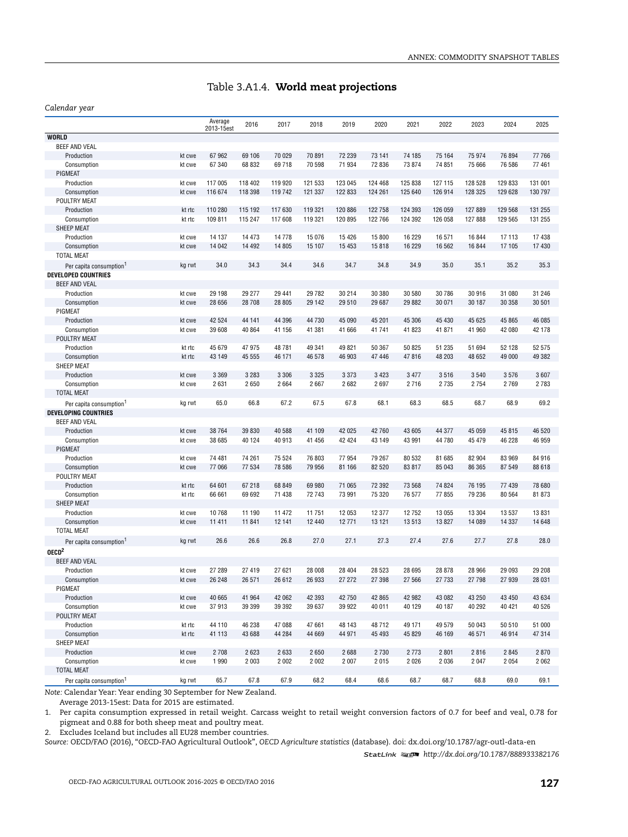## Table 3.A1.4. **World meat projections**

#### *Calendar year*

|                                     |        | Average<br>2013-15est | 2016    | 2017    | 2018    | 2019    | 2020    | 2021    | 2022    | 2023    | 2024    | 2025    |
|-------------------------------------|--------|-----------------------|---------|---------|---------|---------|---------|---------|---------|---------|---------|---------|
| <b>WORLD</b>                        |        |                       |         |         |         |         |         |         |         |         |         |         |
| <b>BEEF AND VEAL</b>                |        |                       |         |         |         |         |         |         |         |         |         |         |
| Production                          | kt cwe | 67 962                | 69 106  | 70 029  | 70 891  | 72 239  | 73 141  | 74 185  | 75 164  | 75 974  | 76 894  | 77 766  |
| Consumption                         | kt cwe | 67 340                | 68 832  | 69718   | 70 598  | 71 934  | 72 836  | 73 874  | 74 851  | 75 666  | 76 586  | 77 461  |
| PIGMEAT                             |        |                       |         |         |         |         |         |         |         |         |         |         |
| Production                          | kt cwe | 117 005               | 118 402 | 119 920 | 121 533 | 123 045 | 124 468 | 125 838 | 127 115 | 128 528 | 129 833 | 131 001 |
| Consumption                         | kt cwe | 116 674               | 118 398 | 119 742 | 121 337 | 122 833 | 124 261 | 125 640 | 126 914 | 128 325 | 129 628 | 130 797 |
| POULTRY MEAT                        |        |                       |         |         |         |         |         |         |         |         |         |         |
| Production                          | kt rtc | 110 280               | 115 192 | 117 630 | 119 321 | 120 886 | 122 758 | 124 393 | 126 059 | 127 889 | 129 568 | 131 255 |
| Consumption                         | kt rtc | 109 811               | 115 247 | 117 608 | 119 321 | 120 895 | 122 766 | 124 392 | 126 058 | 127 888 | 129 565 | 131 255 |
| SHEEP MEAT                          |        |                       |         |         |         |         |         |         |         |         |         |         |
| Production                          | kt cwe | 14 137                | 14 473  | 14778   | 15 0 76 | 15 4 26 | 15 800  | 16 229  | 16 571  | 16 844  | 17 113  | 17 438  |
| Consumption                         | kt cwe | 14 042                | 14 4 92 | 14 805  | 15 107  | 15 4 53 | 15818   | 16 229  | 16 562  | 16 844  | 17 105  | 17 430  |
| <b>TOTAL MEAT</b>                   |        |                       |         |         |         |         |         |         |         |         |         |         |
| Per capita consumption <sup>1</sup> | kg rwt | 34.0                  | 34.3    | 34.4    | 34.6    | 34.7    | 34.8    | 34.9    | 35.0    | 35.1    | 35.2    | 35.3    |
| <b>DEVELOPED COUNTRIES</b>          |        |                       |         |         |         |         |         |         |         |         |         |         |
| <b>BEEF AND VEAL</b>                |        |                       |         |         |         |         |         |         |         |         |         |         |
| Production                          | kt cwe | 29 198                | 29 277  | 29 441  | 29 7 82 | 30 214  | 30 380  | 30 580  | 30 786  | 30 916  | 31 080  | 31 246  |
| Consumption                         | kt cwe | 28 656                | 28 708  | 28 805  | 29 142  | 29 510  | 29 687  | 29 882  | 30 071  | 30 187  | 30 358  | 30 501  |
| PIGMEAT                             |        |                       |         |         |         |         |         |         |         |         |         |         |
| Production                          | kt cwe | 42 5 24               | 44 141  | 44 396  | 44 730  | 45 090  | 45 201  | 45 306  | 45 430  | 45 625  | 45 865  | 46 085  |
| Consumption                         | kt cwe | 39 608                | 40 864  | 41 156  | 41 381  | 41 666  | 41741   | 41 823  | 41 871  | 41 960  | 42 080  | 42 178  |
| POULTRY MEAT                        |        |                       |         |         |         |         |         |         |         |         |         |         |
| Production                          | kt rtc | 45 679                | 47 975  | 48781   | 49 341  | 49 821  | 50 367  | 50 825  | 51 235  | 51 694  | 52 128  | 52 575  |
| Consumption                         | kt rtc | 43 149                | 45 555  | 46 171  | 46 578  | 46 903  | 47 446  | 47816   | 48 203  | 48 652  | 49 000  | 49 382  |
| SHEEP MEAT                          |        |                       |         |         |         |         |         |         |         |         |         |         |
| Production                          | kt cwe | 3 3 6 9               | 3 2 8 3 | 3 3 0 6 | 3 3 2 5 | 3 3 7 3 | 3 4 2 3 | 3 4 7 7 | 3516    | 3540    | 3576    | 3607    |
| Consumption                         | kt cwe | 2631                  | 2650    | 2 6 6 4 | 2 6 6 7 | 2682    | 2697    | 2716    | 2 7 3 5 | 2 7 5 4 | 2769    | 2783    |
| <b>TOTAL MEAT</b>                   |        |                       |         |         |         |         |         |         |         |         |         |         |
| Per capita consumption <sup>1</sup> | kg rwt | 65.0                  | 66.8    | 67.2    | 67.5    | 67.8    | 68.1    | 68.3    | 68.5    | 68.7    | 68.9    | 69.2    |
| <b>DEVELOPING COUNTRIES</b>         |        |                       |         |         |         |         |         |         |         |         |         |         |
| BEEF AND VEAL                       |        |                       |         |         |         |         |         |         |         |         |         |         |
| Production                          | kt cwe | 38 764                | 39 830  | 40 588  | 41 109  | 42 025  | 42 760  | 43 605  | 44 377  | 45 059  | 45 815  | 46 520  |
| Consumption                         | kt cwe | 38 685                | 40 124  | 40 913  | 41 456  | 42 4 24 | 43 149  | 43 991  | 44 780  | 45 479  | 46 228  | 46 959  |
| PIGMEAT                             |        |                       |         |         |         |         |         |         |         |         |         |         |
| Production                          | kt cwe | 74 481                | 74 261  | 75 524  | 76 803  | 77 954  | 79 267  | 80 532  | 81 685  | 82 904  | 83 969  | 84 916  |
| Consumption                         | kt cwe | 77 066                | 77 534  | 78 586  | 79 956  | 81 166  | 82 520  | 83 817  | 85 043  | 86 365  | 87 549  | 88 618  |
| POULTRY MEAT                        |        |                       |         |         |         |         |         |         |         |         |         |         |
| Production                          | kt rtc | 64 601                | 67 218  | 68 849  | 69 980  | 71 065  | 72 392  | 73 568  | 74 824  | 76 195  | 77 439  | 78 680  |
| Consumption                         | kt rtc | 66 661                | 69 692  | 71 438  | 72 743  | 73 991  | 75 320  | 76 577  | 77 855  | 79 236  | 80 564  | 81 873  |
| SHEEP MEAT                          |        |                       |         |         |         |         |         |         |         |         |         |         |
| Production                          | kt cwe | 10768                 | 11 190  | 11 472  | 11 751  | 12 053  | 12 377  | 12752   | 13 055  | 13 3 04 | 13 537  | 13 831  |
| Consumption                         | kt cwe | 11 411                | 11 841  | 12 141  | 12 440  | 12 771  | 13 121  | 13513   | 13 827  | 14 089  | 14 3 37 | 14 648  |
| <b>TOTAL MEAT</b>                   |        |                       |         |         |         |         |         |         |         |         |         |         |
| Per capita consumption <sup>1</sup> | kg rwt | 26.6                  | 26.6    | 26.8    | 27.0    | 27.1    | 27.3    | 27.4    | 27.6    | 27.7    | 27.8    | 28.0    |
| OECD <sup>2</sup>                   |        |                       |         |         |         |         |         |         |         |         |         |         |
| <b>BEEF AND VEAL</b>                |        |                       |         |         |         |         |         |         |         |         |         |         |
| Production                          | kt cwe | 27 289                | 27 419  | 27 621  | 28 008  | 28 404  | 28 5 23 | 28 695  | 28 878  | 28 966  | 29 093  | 29 208  |
| Consumption                         | kt cwe | 26 248                | 26 571  | 26 612  | 26 933  | 27 27 2 | 27 398  | 27 566  | 27 733  | 27 798  | 27 939  | 28 031  |
| PIGMEAT                             |        |                       |         |         |         |         |         |         |         |         |         |         |
| Production                          | kt cwe | 40 665                | 41 964  | 42 062  | 42 393  | 42 750  | 42 865  | 42 982  | 43 082  | 43 250  | 43 450  | 43 634  |
| Consumption                         | kt cwe | 37913                 | 39 399  | 39 392  | 39 637  | 39 922  | 40 011  | 40 129  | 40 187  | 40 292  | 40 421  | 40 526  |
| POULTRY MEAT                        |        |                       |         |         |         |         |         |         |         |         |         |         |
| Production                          | kt rtc | 44 110                | 46 238  | 47 088  | 47 661  | 48 143  | 48712   | 49 171  | 49 579  | 50 043  | 50 510  | 51 000  |
| Consumption                         | kt rtc | 41 113                | 43 688  | 44 284  | 44 669  | 44 971  | 45 4 93 | 45 829  | 46 169  | 46 571  | 46 914  | 47 314  |
| SHEEP MEAT                          |        |                       |         |         |         |         |         |         |         |         |         |         |
| Production                          | kt cwe | 2 7 0 8               | 2623    | 2633    | 2650    | 2688    | 2 7 3 0 | 2 7 7 3 | 2 8 0 1 | 2816    | 2 8 4 5 | 2870    |
| Consumption                         | kt cwe | 1 9 9 0               | 2 0 0 3 | 2 0 0 2 | 2 0 0 2 | 2 0 0 7 | 2015    | 2026    | 2 0 3 6 | 2 0 4 7 | 2 0 5 4 | 2 0 6 2 |
| <b>TOTAL MEAT</b>                   |        |                       |         |         |         |         |         |         |         |         |         |         |
| Per capita consumption <sup>1</sup> | kg rwt | 65.7                  | 67.8    | 67.9    | 68.2    | 68.4    | 68.6    | 68.7    | 68.7    | 68.8    | 69.0    | 69.1    |

*Note:* Calendar Year: Year ending 30 September for New Zealand.

Average 2013-15est: Data for 2015 are estimated.

1. Per capita consumption expressed in retail weight. Carcass weight to retail weight conversion factors of 0.7 for beef and veal, 0.78 for pigmeat and 0.88 for both sheep meat and poultry meat.

2. Excludes Iceland but includes all EU28 member countries.

*Source:* OECD/FAO (2016), "OECD-FAO Agricultural Outlook", *OECD Agriculture statistics* (database). doi: [dx.doi.org/10.1787/agr-outl-data-en](http://dx.doi.org/10.1787/agr-outl-data-en)

1 2 *<http://dx.doi.org/10.1787/888933382176>*